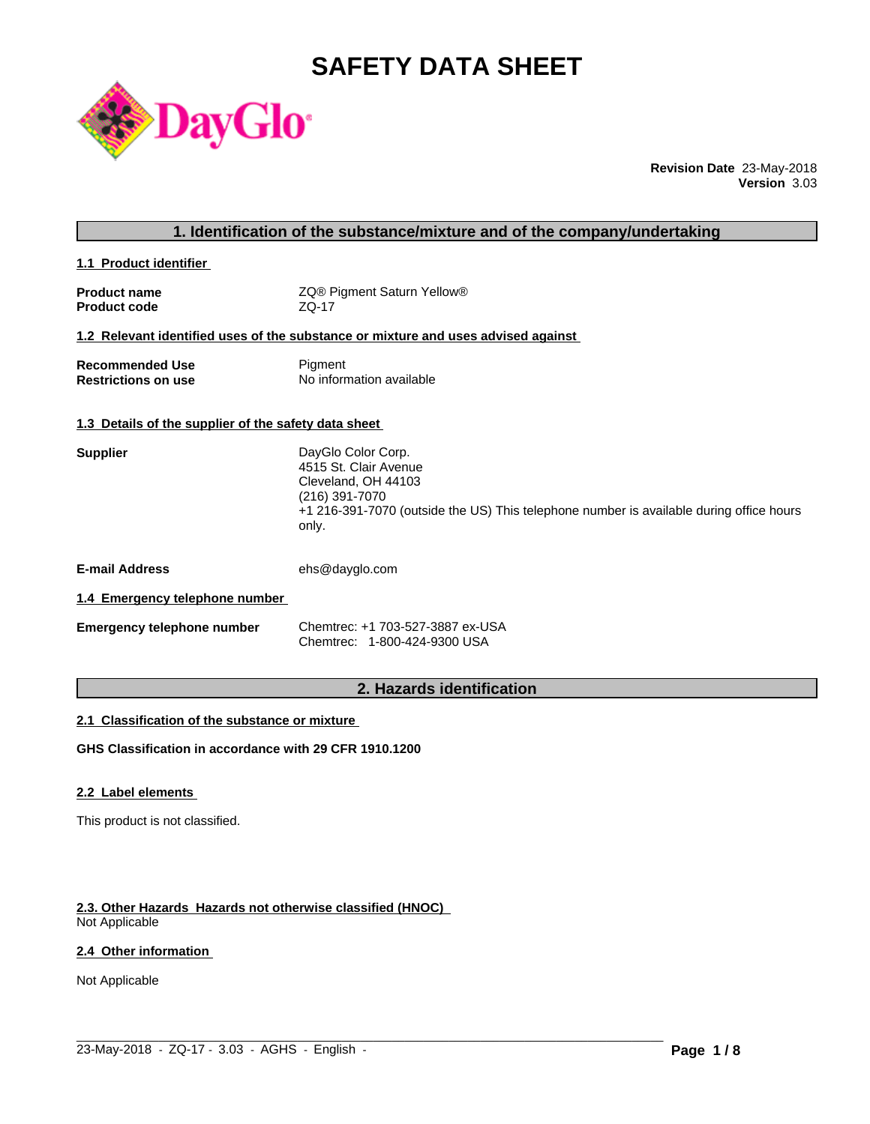# **SAFETY DATA SHEET**



**Revision Date** 23-May-2018 **Version** 3.03

| 1. Identification of the substance/mixture and of the company/undertaking |                                                                                                                                                                                          |  |
|---------------------------------------------------------------------------|------------------------------------------------------------------------------------------------------------------------------------------------------------------------------------------|--|
| 1.1 Product identifier                                                    |                                                                                                                                                                                          |  |
| <b>Product name</b><br><b>Product code</b>                                | ZQ® Pigment Saturn Yellow®<br>$ZQ-17$                                                                                                                                                    |  |
|                                                                           | 1.2 Relevant identified uses of the substance or mixture and uses advised against                                                                                                        |  |
| <b>Recommended Use</b><br><b>Restrictions on use</b>                      | Pigment<br>No information available                                                                                                                                                      |  |
| 1.3 Details of the supplier of the safety data sheet                      |                                                                                                                                                                                          |  |
| <b>Supplier</b>                                                           | DayGlo Color Corp.<br>4515 St. Clair Avenue<br>Cleveland, OH 44103<br>(216) 391-7070<br>+1 216-391-7070 (outside the US) This telephone number is available during office hours<br>only. |  |
| <b>E-mail Address</b>                                                     | ehs@dayglo.com                                                                                                                                                                           |  |
| 1.4 Emergency telephone number                                            |                                                                                                                                                                                          |  |
| <b>Emergency telephone number</b>                                         | Chemtrec: +1 703-527-3887 ex-USA<br>Chemtrec: 1-800-424-9300 USA                                                                                                                         |  |
|                                                                           | 2. Hazards identification                                                                                                                                                                |  |

# **2. Hazards identification**

# **2.1 Classification of the substance or mixture**

**GHS Classification in accordance with 29 CFR 1910.1200**

#### **2.2 Label elements**

This product is not classified.

# **2.3. Other Hazards Hazards not otherwise classified (HNOC)**

Not Applicable

# **2.4 Other information**

Not Applicable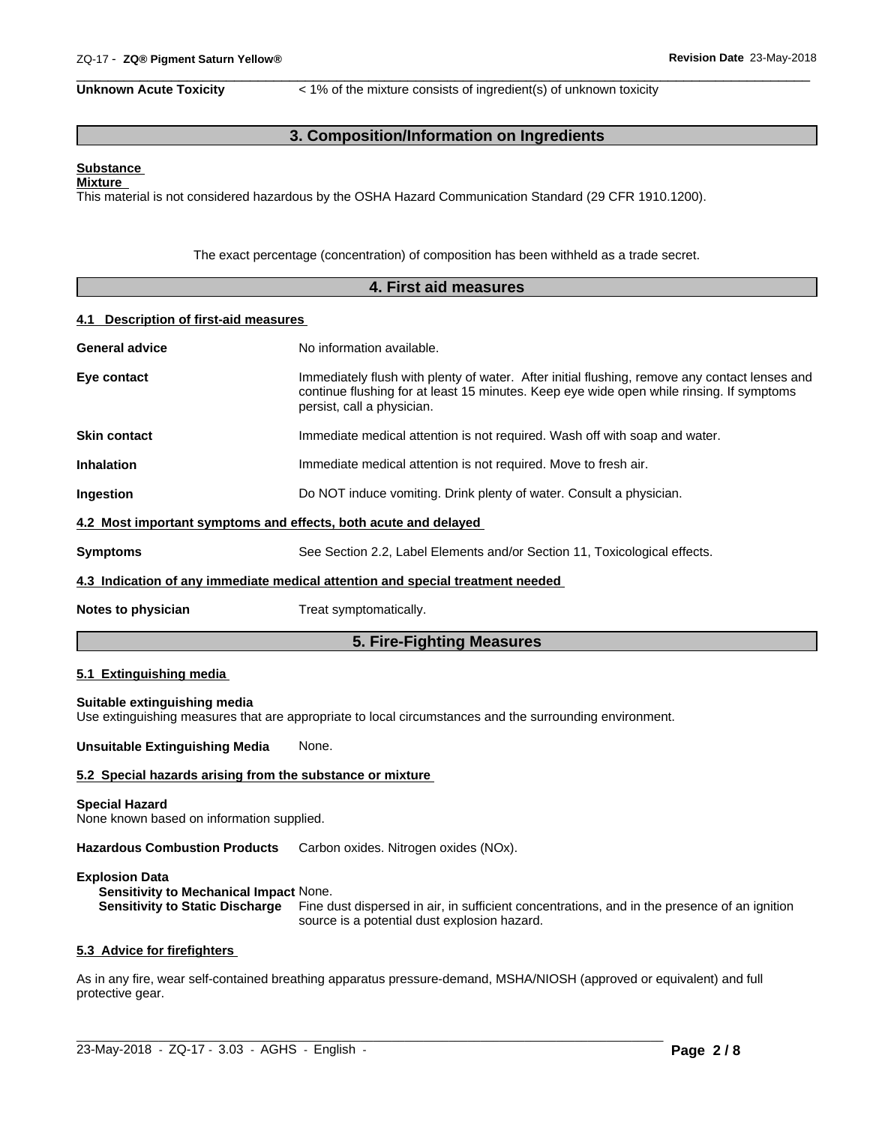**Unknown Acute Toxicity**  $\lt$  1% of the mixture consists of ingredient(s) of unknown toxicity

 $\overline{\phantom{a}}$  ,  $\overline{\phantom{a}}$  ,  $\overline{\phantom{a}}$  ,  $\overline{\phantom{a}}$  ,  $\overline{\phantom{a}}$  ,  $\overline{\phantom{a}}$  ,  $\overline{\phantom{a}}$  ,  $\overline{\phantom{a}}$  ,  $\overline{\phantom{a}}$  ,  $\overline{\phantom{a}}$  ,  $\overline{\phantom{a}}$  ,  $\overline{\phantom{a}}$  ,  $\overline{\phantom{a}}$  ,  $\overline{\phantom{a}}$  ,  $\overline{\phantom{a}}$  ,  $\overline{\phantom{a}}$ 

# **3. Composition/Information on Ingredients**

#### **Substance Mixture**

This material is not considered hazardous by the OSHA Hazard Communication Standard (29 CFR 1910.1200).

The exact percentage (concentration) of composition has been withheld as a trade secret.

|                                                                    | 4. First aid measures                                                                                                                                                                                                   |  |  |  |
|--------------------------------------------------------------------|-------------------------------------------------------------------------------------------------------------------------------------------------------------------------------------------------------------------------|--|--|--|
| 4.1 Description of first-aid measures                              |                                                                                                                                                                                                                         |  |  |  |
| <b>General advice</b>                                              | No information available.                                                                                                                                                                                               |  |  |  |
| Eye contact                                                        | Immediately flush with plenty of water. After initial flushing, remove any contact lenses and<br>continue flushing for at least 15 minutes. Keep eye wide open while rinsing. If symptoms<br>persist, call a physician. |  |  |  |
| <b>Skin contact</b>                                                | Immediate medical attention is not required. Wash off with soap and water.                                                                                                                                              |  |  |  |
| <b>Inhalation</b>                                                  | Immediate medical attention is not required. Move to fresh air.                                                                                                                                                         |  |  |  |
| Ingestion                                                          | Do NOT induce vomiting. Drink plenty of water. Consult a physician.                                                                                                                                                     |  |  |  |
|                                                                    | 4.2 Most important symptoms and effects, both acute and delayed                                                                                                                                                         |  |  |  |
| <b>Symptoms</b>                                                    | See Section 2.2, Label Elements and/or Section 11, Toxicological effects.                                                                                                                                               |  |  |  |
|                                                                    | 4.3 Indication of any immediate medical attention and special treatment needed                                                                                                                                          |  |  |  |
| Notes to physician                                                 | Treat symptomatically.                                                                                                                                                                                                  |  |  |  |
|                                                                    | 5. Fire-Fighting Measures                                                                                                                                                                                               |  |  |  |
| 5.1 Extinguishing media                                            |                                                                                                                                                                                                                         |  |  |  |
| Suitable extinguishing media                                       | Use extinguishing measures that are appropriate to local circumstances and the surrounding environment.                                                                                                                 |  |  |  |
| <b>Unsuitable Extinguishing Media</b>                              | None.                                                                                                                                                                                                                   |  |  |  |
| 5.2 Special hazards arising from the substance or mixture          |                                                                                                                                                                                                                         |  |  |  |
| <b>Special Hazard</b><br>None known based on information supplied. |                                                                                                                                                                                                                         |  |  |  |

**Hazardous Combustion Products** Carbon oxides. Nitrogen oxides (NOx).

#### **Explosion Data**

**Sensitivity to Mechanical Impact** None. **Sensitivity to Static Discharge** Fine dust dispersed in air, in sufficient concentrations, and in the presence of an ignition source is a potential dust explosion hazard.

#### **5.3 Advice for firefighters**

As in any fire, wear self-contained breathing apparatus pressure-demand, MSHA/NIOSH (approved or equivalent) and full protective gear.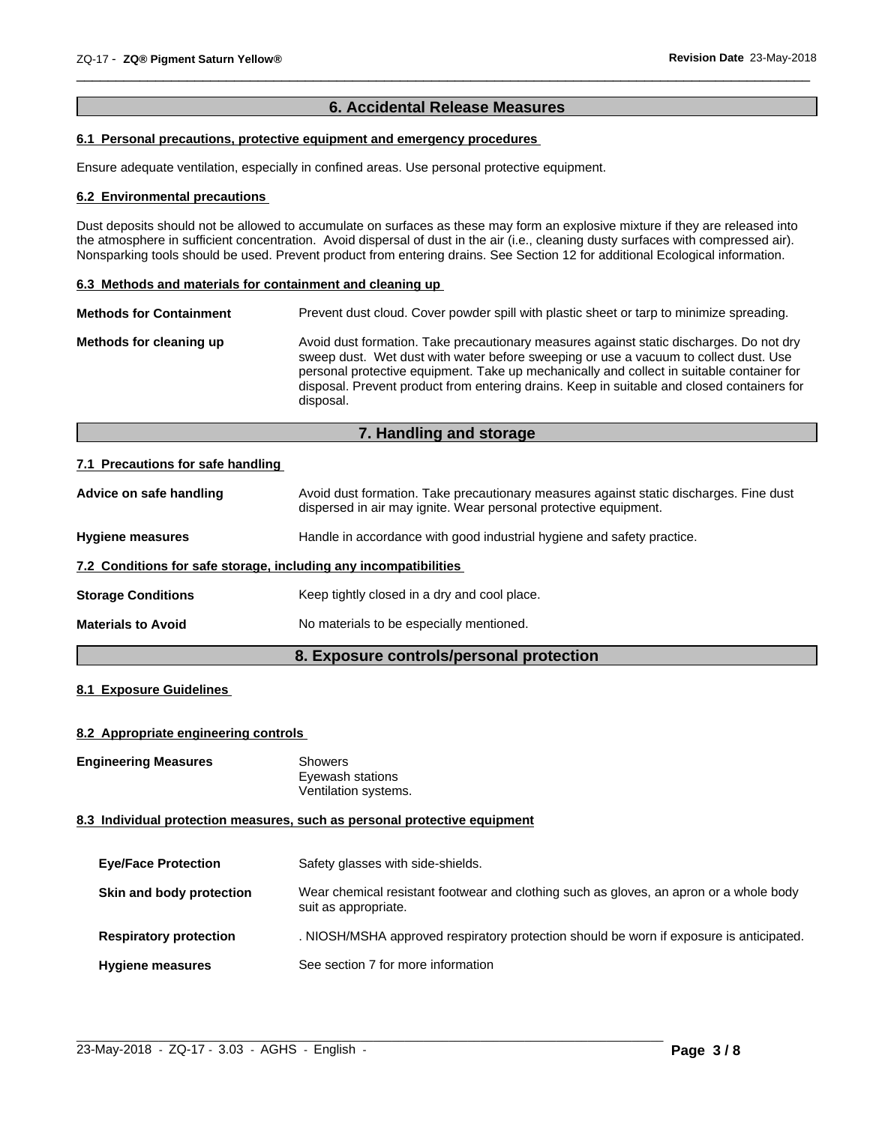# **6. Accidental Release Measures**

 $\overline{\phantom{a}}$  ,  $\overline{\phantom{a}}$  ,  $\overline{\phantom{a}}$  ,  $\overline{\phantom{a}}$  ,  $\overline{\phantom{a}}$  ,  $\overline{\phantom{a}}$  ,  $\overline{\phantom{a}}$  ,  $\overline{\phantom{a}}$  ,  $\overline{\phantom{a}}$  ,  $\overline{\phantom{a}}$  ,  $\overline{\phantom{a}}$  ,  $\overline{\phantom{a}}$  ,  $\overline{\phantom{a}}$  ,  $\overline{\phantom{a}}$  ,  $\overline{\phantom{a}}$  ,  $\overline{\phantom{a}}$ 

# **6.1 Personal precautions, protective equipment and emergency procedures**

Ensure adequate ventilation, especially in confined areas. Use personal protective equipment.

#### **6.2 Environmental precautions**

Dust deposits should not be allowed to accumulate on surfaces as these may form an explosive mixture if they are released into the atmosphere in sufficient concentration. Avoid dispersal of dust in the air (i.e., cleaning dusty surfaces with compressed air). Nonsparking tools should be used. Prevent product from entering drains. See Section 12 for additional Ecological information.

#### **6.3 Methods and materials for containment and cleaning up**

| Avoid dust formation. Take precautionary measures against static discharges. Do not dry<br>Methods for cleaning up                                                                                                                                                                           |
|----------------------------------------------------------------------------------------------------------------------------------------------------------------------------------------------------------------------------------------------------------------------------------------------|
| sweep dust. Wet dust with water before sweeping or use a vacuum to collect dust. Use<br>personal protective equipment. Take up mechanically and collect in suitable container for<br>disposal. Prevent product from entering drains. Keep in suitable and closed containers for<br>disposal. |

# **7. Handling and storage**

#### **7.1 Precautions for safe handling**

| Advice on safe handling                                          | Avoid dust formation. Take precautionary measures against static discharges. Fine dust<br>dispersed in air may ignite. Wear personal protective equipment. |
|------------------------------------------------------------------|------------------------------------------------------------------------------------------------------------------------------------------------------------|
| <b>Hygiene measures</b>                                          | Handle in accordance with good industrial hygiene and safety practice.                                                                                     |
| 7.2 Conditions for safe storage, including any incompatibilities |                                                                                                                                                            |
| <b>Storage Conditions</b>                                        | Keep tightly closed in a dry and cool place.                                                                                                               |
| <b>Materials to Avoid</b>                                        | No materials to be especially mentioned.                                                                                                                   |
|                                                                  |                                                                                                                                                            |

# **8. Exposure controls/personal protection**

### **8.1 Exposure Guidelines**

#### **8.2 Appropriate engineering controls**

**Engineering Measures** Showers

Eyewash stations Ventilation systems.

#### **8.3 Individual protection measures, such as personal protective equipment**

| <b>Eye/Face Protection</b>    | Safety glasses with side-shields.                                                                              |
|-------------------------------|----------------------------------------------------------------------------------------------------------------|
| Skin and body protection      | Wear chemical resistant footwear and clothing such as gloves, an apron or a whole body<br>suit as appropriate. |
| <b>Respiratory protection</b> | . NIOSH/MSHA approved respiratory protection should be worn if exposure is anticipated.                        |
| <b>Hygiene measures</b>       | See section 7 for more information                                                                             |

 $\_$  ,  $\_$  ,  $\_$  ,  $\_$  ,  $\_$  ,  $\_$  ,  $\_$  ,  $\_$  ,  $\_$  ,  $\_$  ,  $\_$  ,  $\_$  ,  $\_$  ,  $\_$  ,  $\_$  ,  $\_$  ,  $\_$  ,  $\_$  ,  $\_$  ,  $\_$  ,  $\_$  ,  $\_$  ,  $\_$  ,  $\_$  ,  $\_$  ,  $\_$  ,  $\_$  ,  $\_$  ,  $\_$  ,  $\_$  ,  $\_$  ,  $\_$  ,  $\_$  ,  $\_$  ,  $\_$  ,  $\_$  ,  $\_$  ,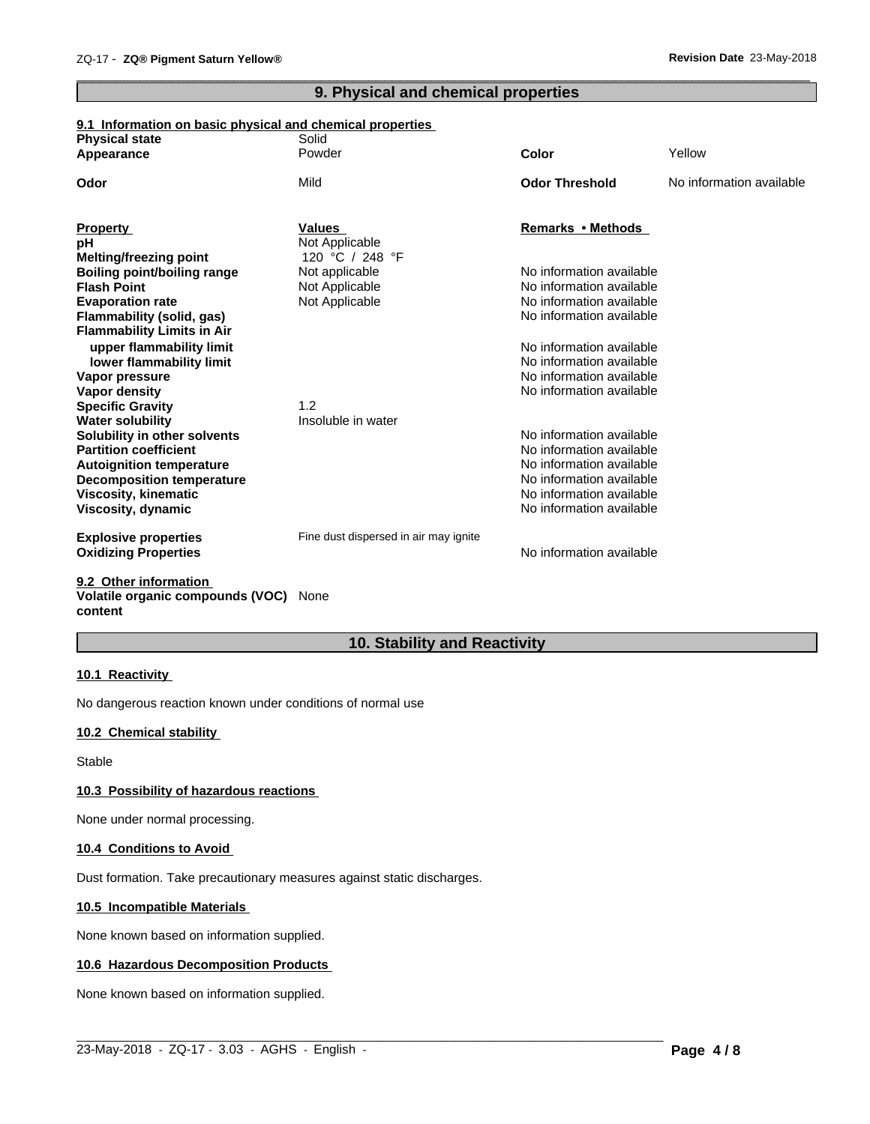# **9. Physical and chemical properties**

 $\overline{\phantom{a}}$  ,  $\overline{\phantom{a}}$  ,  $\overline{\phantom{a}}$  ,  $\overline{\phantom{a}}$  ,  $\overline{\phantom{a}}$  ,  $\overline{\phantom{a}}$  ,  $\overline{\phantom{a}}$  ,  $\overline{\phantom{a}}$  ,  $\overline{\phantom{a}}$  ,  $\overline{\phantom{a}}$  ,  $\overline{\phantom{a}}$  ,  $\overline{\phantom{a}}$  ,  $\overline{\phantom{a}}$  ,  $\overline{\phantom{a}}$  ,  $\overline{\phantom{a}}$  ,  $\overline{\phantom{a}}$ 

### **9.1 Information on basic physical and chemical properties**

| <b>Physical state</b>                          | Solid                                 |                                                      |                          |
|------------------------------------------------|---------------------------------------|------------------------------------------------------|--------------------------|
| Appearance                                     | Powder                                | <b>Color</b>                                         | Yellow                   |
| Odor                                           | Mild                                  | <b>Odor Threshold</b>                                | No information available |
| <b>Property</b>                                | <b>Values</b>                         | Remarks • Methods                                    |                          |
| рH                                             | Not Applicable                        |                                                      |                          |
| Melting/freezing point                         | 120 °C / 248 °F                       |                                                      |                          |
| <b>Boiling point/boiling range</b>             | Not applicable                        | No information available                             |                          |
| <b>Flash Point</b>                             | Not Applicable                        | No information available                             |                          |
| <b>Evaporation rate</b>                        | Not Applicable                        | No information available                             |                          |
| Flammability (solid, gas)                      |                                       | No information available                             |                          |
| <b>Flammability Limits in Air</b>              |                                       |                                                      |                          |
| upper flammability limit                       |                                       | No information available                             |                          |
| lower flammability limit                       |                                       | No information available                             |                          |
| Vapor pressure                                 |                                       | No information available                             |                          |
| Vapor density                                  |                                       | No information available                             |                          |
| <b>Specific Gravity</b>                        | 1.2                                   |                                                      |                          |
| <b>Water solubility</b>                        | Insoluble in water                    |                                                      |                          |
| Solubility in other solvents                   |                                       | No information available                             |                          |
| <b>Partition coefficient</b>                   |                                       | No information available                             |                          |
| <b>Autoignition temperature</b>                |                                       | No information available                             |                          |
| <b>Decomposition temperature</b>               |                                       | No information available<br>No information available |                          |
| <b>Viscosity, kinematic</b>                    |                                       | No information available                             |                          |
| Viscosity, dynamic                             |                                       |                                                      |                          |
| <b>Explosive properties</b>                    | Fine dust dispersed in air may ignite |                                                      |                          |
| <b>Oxidizing Properties</b>                    |                                       | No information available                             |                          |
| $A \wedge A$ and $A \wedge B$ and $A \wedge B$ |                                       |                                                      |                          |

#### **9.2 Other information Volatile organic compounds (VOC)** None **content**

# **10. Stability and Reactivity**

#### **10.1 Reactivity**

No dangerous reaction known under conditions of normal use

# **10.2 Chemical stability**

Stable

#### **10.3 Possibility of hazardous reactions**

None under normal processing.

#### **10.4 Conditions to Avoid**

Dust formation. Take precautionary measures against static discharges.

#### **10.5 Incompatible Materials**

None known based on information supplied.

#### **10.6 Hazardous Decomposition Products**

None known based on information supplied.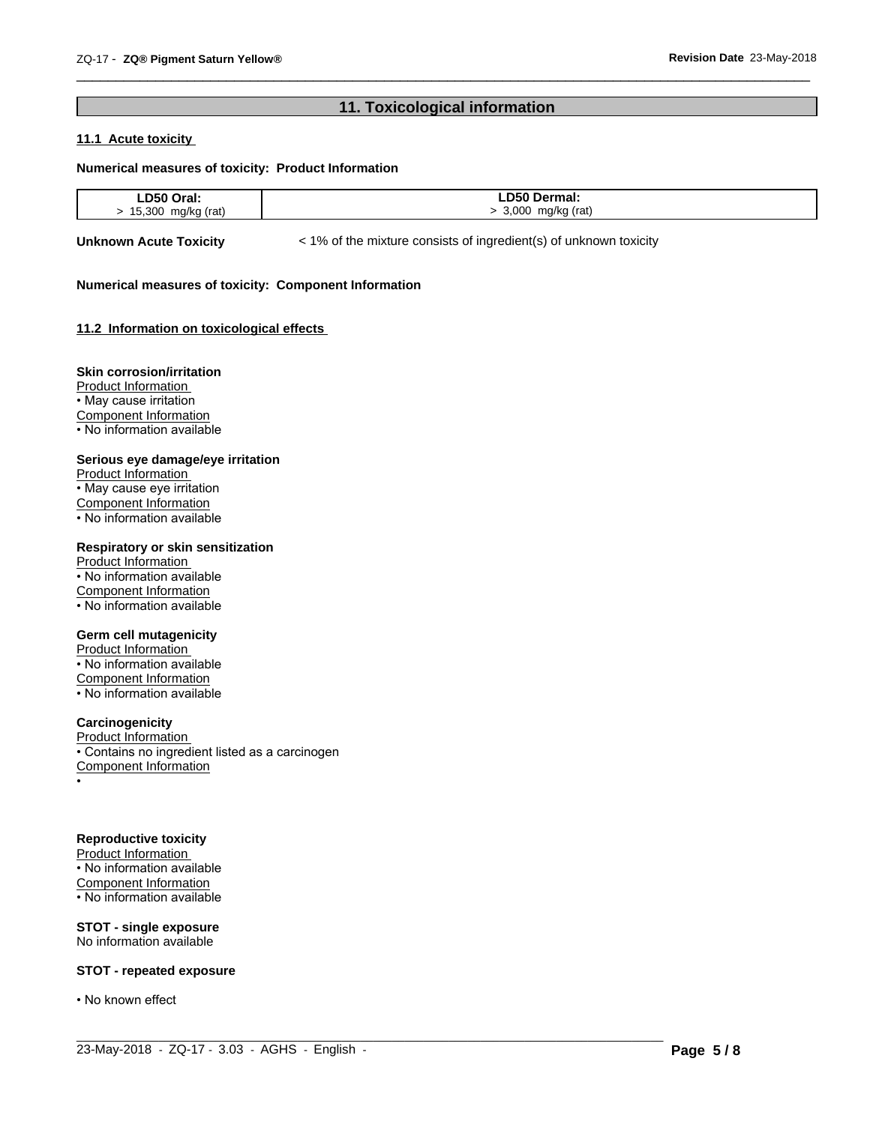# **11. Toxicological information**

 $\overline{\phantom{a}}$  ,  $\overline{\phantom{a}}$  ,  $\overline{\phantom{a}}$  ,  $\overline{\phantom{a}}$  ,  $\overline{\phantom{a}}$  ,  $\overline{\phantom{a}}$  ,  $\overline{\phantom{a}}$  ,  $\overline{\phantom{a}}$  ,  $\overline{\phantom{a}}$  ,  $\overline{\phantom{a}}$  ,  $\overline{\phantom{a}}$  ,  $\overline{\phantom{a}}$  ,  $\overline{\phantom{a}}$  ,  $\overline{\phantom{a}}$  ,  $\overline{\phantom{a}}$  ,  $\overline{\phantom{a}}$ 

# **11.1 Acute toxicity**

#### **Numerical measures of toxicity: Product Information**

| <b>DEO</b>             | D50 D.                       |
|------------------------|------------------------------|
| วraเ.                  | rmal.                        |
| --                     |                              |
| .                      | ____                         |
| <b>E</b> OOO<br>.3I JI | ∩∩∩<br>(rat)<br>ma/kr<br>л л |

 $\_$  ,  $\_$  ,  $\_$  ,  $\_$  ,  $\_$  ,  $\_$  ,  $\_$  ,  $\_$  ,  $\_$  ,  $\_$  ,  $\_$  ,  $\_$  ,  $\_$  ,  $\_$  ,  $\_$  ,  $\_$  ,  $\_$  ,  $\_$  ,  $\_$  ,  $\_$  ,  $\_$  ,  $\_$  ,  $\_$  ,  $\_$  ,  $\_$  ,  $\_$  ,  $\_$  ,  $\_$  ,  $\_$  ,  $\_$  ,  $\_$  ,  $\_$  ,  $\_$  ,  $\_$  ,  $\_$  ,  $\_$  ,  $\_$  ,

**Unknown Acute Toxicity**  $\lt$  1% of the mixture consists of ingredient(s) of unknown toxicity

#### **Numerical measures of toxicity: Component Information**

#### **11.2 Information on toxicologicaleffects**

#### **Skin corrosion/irritation**

Product Information • May cause irritation Component Information • No information available

#### **Serious eye damage/eye irritation**

Product Information • May cause eye irritation Component Information • No information available

## **Respiratory or skin sensitization**

Product Information • No information available Component Information • No information available

#### **Germ cell mutagenicity**

Product Information • No information available Component Information • No information available

# **Carcinogenicity**

Product Information • Contains no ingredient listed as a carcinogen Component Information •

#### **Reproductive toxicity**

Product Information • No information available Component Information • No information available

**STOT - single exposure** No information available

#### **STOT - repeated exposure**

• No known effect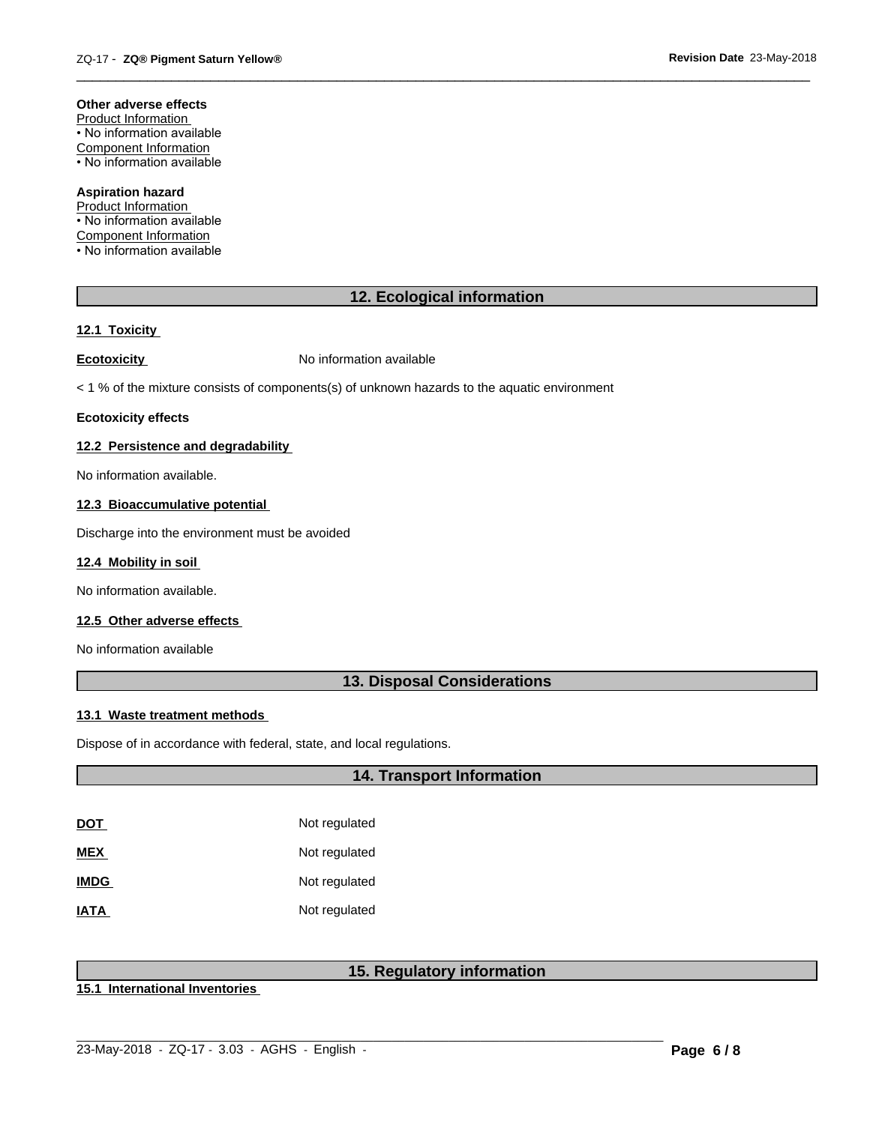### **Other adverse effects**

Product Information • No information available Component Information • No information available

### **Aspiration hazard**

Product Information • No information available Component Information • No information available

# **12. Ecological information**

 $\overline{\phantom{a}}$  ,  $\overline{\phantom{a}}$  ,  $\overline{\phantom{a}}$  ,  $\overline{\phantom{a}}$  ,  $\overline{\phantom{a}}$  ,  $\overline{\phantom{a}}$  ,  $\overline{\phantom{a}}$  ,  $\overline{\phantom{a}}$  ,  $\overline{\phantom{a}}$  ,  $\overline{\phantom{a}}$  ,  $\overline{\phantom{a}}$  ,  $\overline{\phantom{a}}$  ,  $\overline{\phantom{a}}$  ,  $\overline{\phantom{a}}$  ,  $\overline{\phantom{a}}$  ,  $\overline{\phantom{a}}$ 

#### **12.1 Toxicity**

**Ecotoxicity No information available** 

 $<$  1 % of the mixture consists of components(s) of unknown hazards to the aquatic environment

#### **Ecotoxicity effects**

#### **12.2 Persistence and degradability**

No information available.

#### **12.3 Bioaccumulative potential**

Discharge into the environment must be avoided

#### **12.4 Mobility in soil**

No information available.

### **12.5 Other adverse effects**

No information available

# **13. Disposal Considerations**

#### **13.1 Waste treatment methods**

Dispose of in accordance with federal, state, and local regulations.

# **14. Transport Information**

| <u>DOT</u>  | Not regulated |
|-------------|---------------|
| MEX         | Not regulated |
| <b>IMDG</b> | Not regulated |
| <b>ATAI</b> | Not regulated |

# **15. Regulatory information**

**15.1 International Inventories**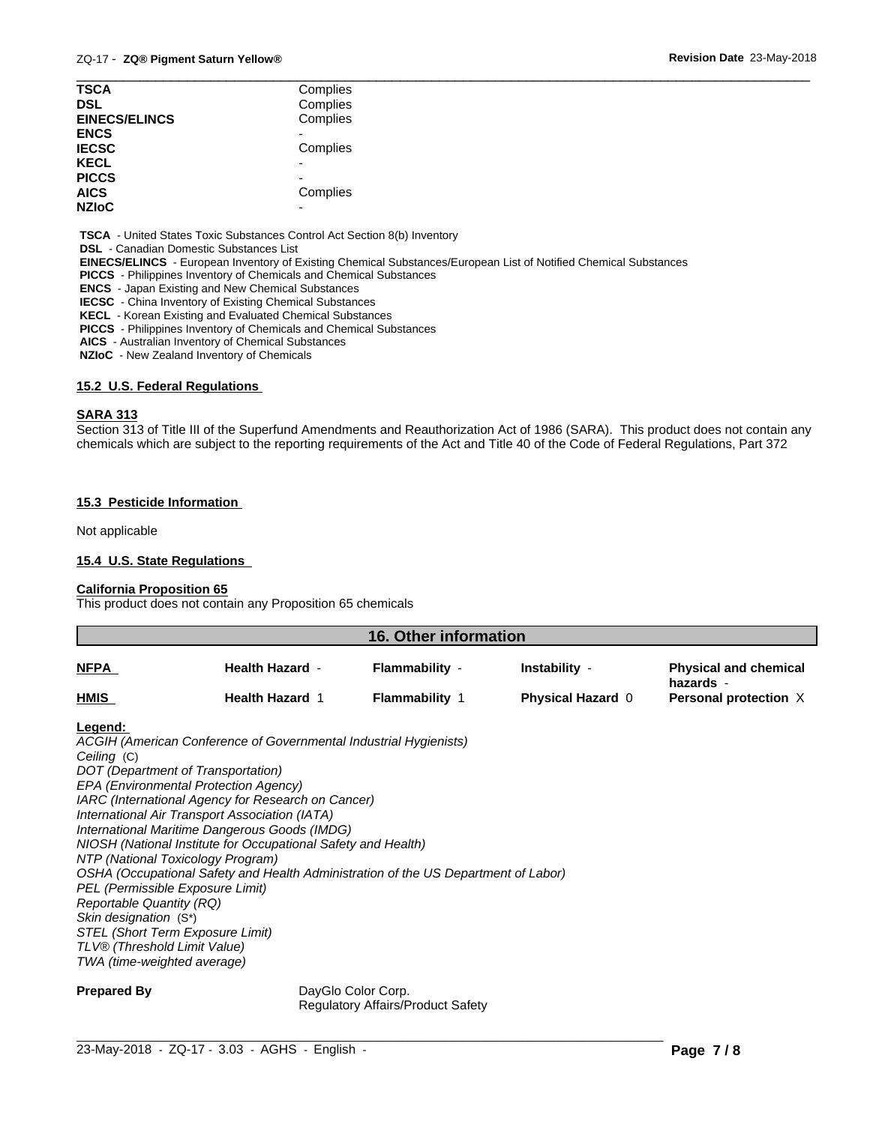| <b>TSCA</b>          | Complies |  |
|----------------------|----------|--|
| <b>DSL</b>           | Complies |  |
| <b>EINECS/ELINCS</b> | Complies |  |
| <b>ENCS</b>          |          |  |
| <b>IECSC</b>         | Complies |  |
| <b>KECL</b>          | ۰        |  |
| <b>PICCS</b>         | -        |  |
| <b>AICS</b>          | Complies |  |
| <b>NZIoC</b>         | -        |  |

 **TSCA** - United States Toxic Substances Control Act Section 8(b) Inventory

 **DSL** - Canadian Domestic Substances List

 **EINECS/ELINCS** - European Inventory of Existing Chemical Substances/European List of Notified Chemical Substances

 **PICCS** - Philippines Inventory of Chemicals and Chemical Substances

 **ENCS** - Japan Existing and New Chemical Substances

 **IECSC** - China Inventory of Existing Chemical Substances

 **KECL** - Korean Existing and Evaluated Chemical Substances

 **PICCS** - Philippines Inventory of Chemicals and Chemical Substances

 **AICS** - Australian Inventory of Chemical Substances

 **NZIoC** - New Zealand Inventory of Chemicals

### **15.2 U.S. Federal Regulations**

#### **SARA 313**

Section 313 of Title III of the Superfund Amendments and Reauthorization Act of 1986 (SARA). This product does not contain any chemicals which are subject to the reporting requirements of the Act and Title 40 of the Code of Federal Regulations, Part 372

#### **15.3 Pesticide Information**

Not applicable

#### **15.4 U.S. State Regulations**

#### **California Proposition 65**

This product does not contain any Proposition 65 chemicals

| <b>16. Other information</b> |                        |                       |                          |                                           |
|------------------------------|------------------------|-----------------------|--------------------------|-------------------------------------------|
| <b>NFPA</b>                  | <b>Health Hazard -</b> | Flammability -        | Instability -            | <b>Physical and chemical</b><br>hazards - |
| <b>HMIS</b>                  | <b>Health Hazard 1</b> | <b>Flammability</b> 1 | <b>Physical Hazard 0</b> | Personal protection X                     |
| the company of the           |                        |                       |                          |                                           |

#### **Legend:**

*ACGIH (American Conference of Governmental Industrial Hygienists) Ceiling* (C) *DOT (Department of Transportation) EPA (Environmental Protection Agency) IARC (International Agency for Research on Cancer) International Air Transport Association (IATA) International Maritime Dangerous Goods (IMDG) NIOSH (National Institute for Occupational Safety and Health) NTP (National Toxicology Program) OSHA (Occupational Safety and Health Administration of the US Department of Labor) PEL (Permissible Exposure Limit) Reportable Quantity (RQ) Skin designation* (S\*) *STEL (Short Term Exposure Limit) TLV® (Threshold Limit Value) TWA (time-weighted average)*

**Prepared By** DayGlo Color Corp. Regulatory Affairs/Product Safety